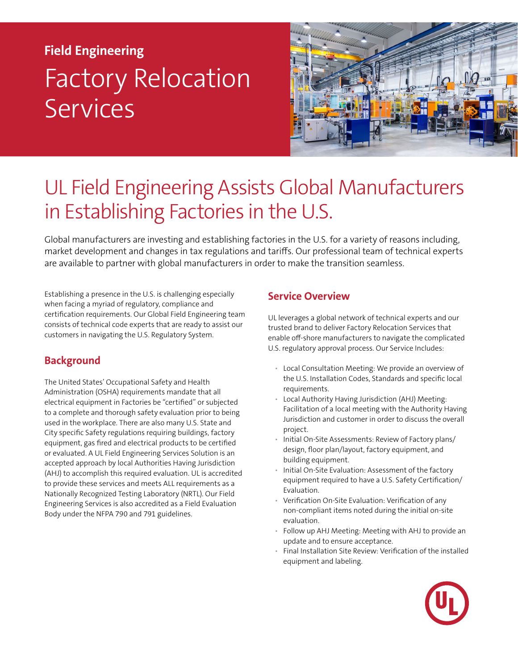# **Field Engineering** Factory Relocation **Services**



# UL Field Engineering Assists Global Manufacturers in Establishing Factories in the U.S.

Global manufacturers are investing and establishing factories in the U.S. for a variety of reasons including, market development and changes in tax regulations and tariffs. Our professional team of technical experts are available to partner with global manufacturers in order to make the transition seamless.

Establishing a presence in the U.S. is challenging especially when facing a myriad of regulatory, compliance and certification requirements. Our Global Field Engineering team consists of technical code experts that are ready to assist our customers in navigating the U.S. Regulatory System.

## **Background**

The United States' Occupational Safety and Health Administration (OSHA) requirements mandate that all electrical equipment in Factories be "certified" or subjected to a complete and thorough safety evaluation prior to being used in the workplace. There are also many U.S. State and City specific Safety regulations requiring buildings, factory equipment, gas fired and electrical products to be certified or evaluated. A UL Field Engineering Services Solution is an accepted approach by local Authorities Having Jurisdiction (AHJ) to accomplish this required evaluation. UL is accredited to provide these services and meets ALL requirements as a Nationally Recognized Testing Laboratory (NRTL). Our Field Engineering Services is also accredited as a Field Evaluation Body under the NFPA 790 and 791 guidelines.

#### **Service Overview**

UL leverages a global network of technical experts and our trusted brand to deliver Factory Relocation Services that enable off-shore manufacturers to navigate the complicated U.S. regulatory approval process. Our Service Includes:

- Local Consultation Meeting: We provide an overview of the U.S. Installation Codes, Standards and specific local requirements.
- Local Authority Having Jurisdiction (AHJ) Meeting: Facilitation of a local meeting with the Authority Having Jurisdiction and customer in order to discuss the overall project.
- Initial On-Site Assessments: Review of Factory plans/ design, floor plan/layout, factory equipment, and building equipment.
- Initial On-Site Evaluation: Assessment of the factory equipment required to have a U.S. Safety Certification/ Evaluation.
- Verification On-Site Evaluation: Verification of any non-compliant items noted during the initial on-site evaluation.
- Follow up AHJ Meeting: Meeting with AHJ to provide an update and to ensure acceptance.
- Final Installation Site Review: Verification of the installed equipment and labeling.